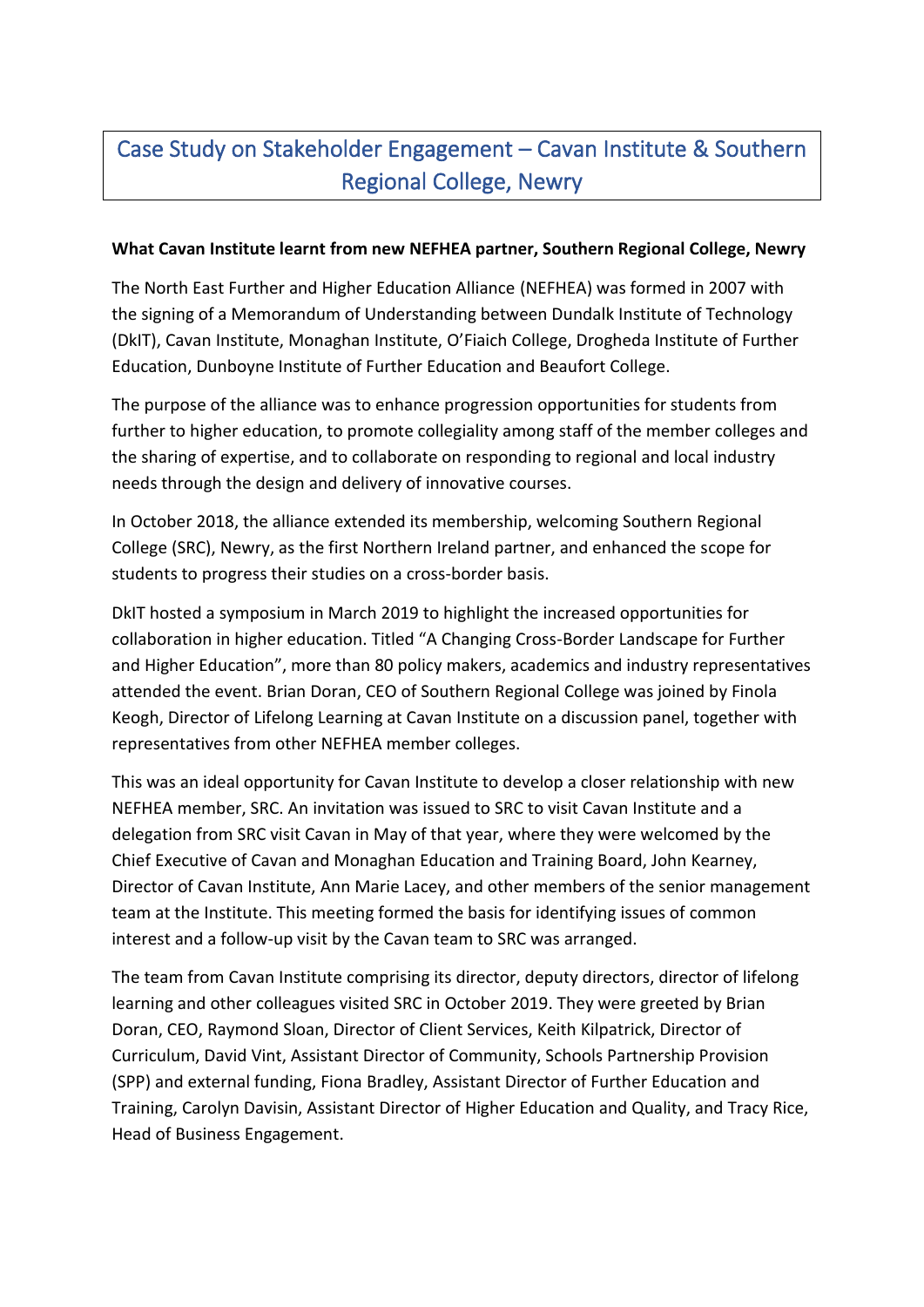## Case Study on Stakeholder Engagement – Cavan Institute & Southern Regional College, Newry

## **What Cavan Institute learnt from new NEFHEA partner, Southern Regional College, Newry**

The North East Further and Higher Education Alliance (NEFHEA) was formed in 2007 with the signing of a Memorandum of Understanding between Dundalk Institute of Technology (DkIT), Cavan Institute, Monaghan Institute, O'Fiaich College, Drogheda Institute of Further Education, Dunboyne Institute of Further Education and Beaufort College.

The purpose of the alliance was to enhance progression opportunities for students from further to higher education, to promote collegiality among staff of the member colleges and the sharing of expertise, and to collaborate on responding to regional and local industry needs through the design and delivery of innovative courses.

In October 2018, the alliance extended its membership, welcoming Southern Regional College (SRC), Newry, as the first Northern Ireland partner, and enhanced the scope for students to progress their studies on a cross-border basis.

DkIT hosted a symposium in March 2019 to highlight the increased opportunities for collaboration in higher education. Titled "A Changing Cross-Border Landscape for Further and Higher Education", more than 80 policy makers, academics and industry representatives attended the event. Brian Doran, CEO of Southern Regional College was joined by Finola Keogh, Director of Lifelong Learning at Cavan Institute on a discussion panel, together with representatives from other NEFHEA member colleges.

This was an ideal opportunity for Cavan Institute to develop a closer relationship with new NEFHEA member, SRC. An invitation was issued to SRC to visit Cavan Institute and a delegation from SRC visit Cavan in May of that year, where they were welcomed by the Chief Executive of Cavan and Monaghan Education and Training Board, John Kearney, Director of Cavan Institute, Ann Marie Lacey, and other members of the senior management team at the Institute. This meeting formed the basis for identifying issues of common interest and a follow-up visit by the Cavan team to SRC was arranged.

The team from Cavan Institute comprising its director, deputy directors, director of lifelong learning and other colleagues visited SRC in October 2019. They were greeted by Brian Doran, CEO, Raymond Sloan, Director of Client Services, Keith Kilpatrick, Director of Curriculum, David Vint, Assistant Director of Community, Schools Partnership Provision (SPP) and external funding, Fiona Bradley, Assistant Director of Further Education and Training, Carolyn Davisin, Assistant Director of Higher Education and Quality, and Tracy Rice, Head of Business Engagement.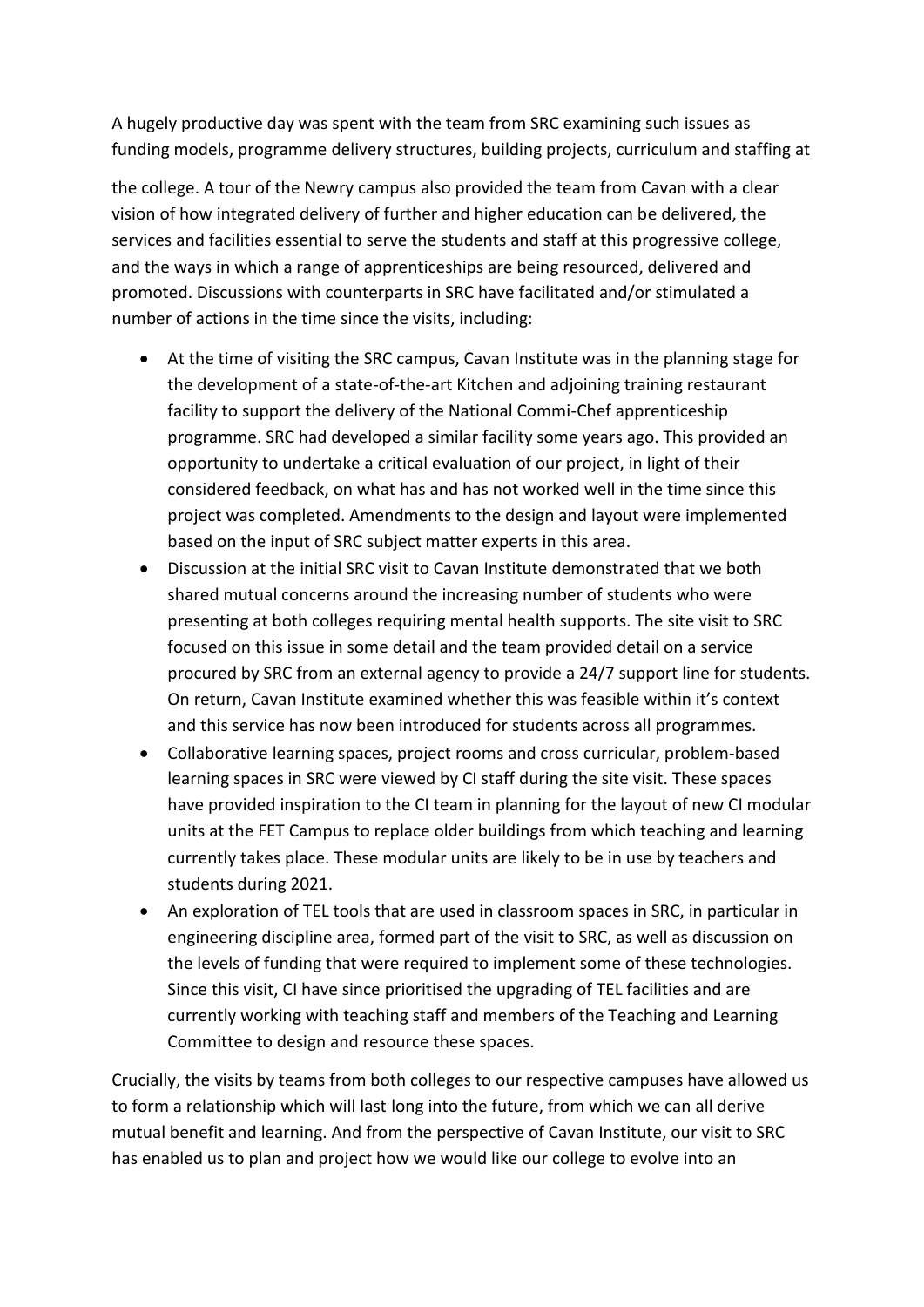A hugely productive day was spent with the team from SRC examining such issues as funding models, programme delivery structures, building projects, curriculum and staffing at

the college. A tour of the Newry campus also provided the team from Cavan with a clear vision of how integrated delivery of further and higher education can be delivered, the services and facilities essential to serve the students and staff at this progressive college, and the ways in which a range of apprenticeships are being resourced, delivered and promoted. Discussions with counterparts in SRC have facilitated and/or stimulated a number of actions in the time since the visits, including:

- At the time of visiting the SRC campus, Cavan Institute was in the planning stage for the development of a state-of-the-art Kitchen and adjoining training restaurant facility to support the delivery of the National Commi-Chef apprenticeship programme. SRC had developed a similar facility some years ago. This provided an opportunity to undertake a critical evaluation of our project, in light of their considered feedback, on what has and has not worked well in the time since this project was completed. Amendments to the design and layout were implemented based on the input of SRC subject matter experts in this area.
- Discussion at the initial SRC visit to Cavan Institute demonstrated that we both shared mutual concerns around the increasing number of students who were presenting at both colleges requiring mental health supports. The site visit to SRC focused on this issue in some detail and the team provided detail on a service procured by SRC from an external agency to provide a 24/7 support line for students. On return, Cavan Institute examined whether this was feasible within it's context and this service has now been introduced for students across all programmes.
- Collaborative learning spaces, project rooms and cross curricular, problem-based learning spaces in SRC were viewed by CI staff during the site visit. These spaces have provided inspiration to the CI team in planning for the layout of new CI modular units at the FET Campus to replace older buildings from which teaching and learning currently takes place. These modular units are likely to be in use by teachers and students during 2021.
- An exploration of TEL tools that are used in classroom spaces in SRC, in particular in engineering discipline area, formed part of the visit to SRC, as well as discussion on the levels of funding that were required to implement some of these technologies. Since this visit, CI have since prioritised the upgrading of TEL facilities and are currently working with teaching staff and members of the Teaching and Learning Committee to design and resource these spaces.

Crucially, the visits by teams from both colleges to our respective campuses have allowed us to form a relationship which will last long into the future, from which we can all derive mutual benefit and learning. And from the perspective of Cavan Institute, our visit to SRC has enabled us to plan and project how we would like our college to evolve into an